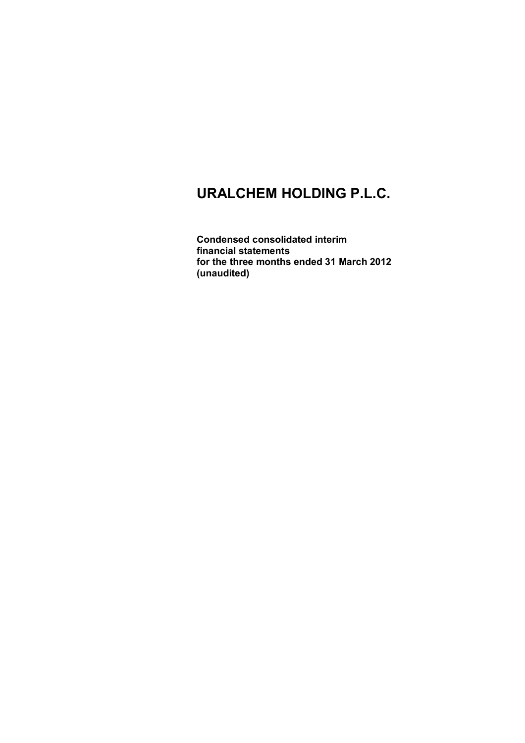**Condensed consolidated interim financial statements for the three months ended 31 March 2012 (unaudited)**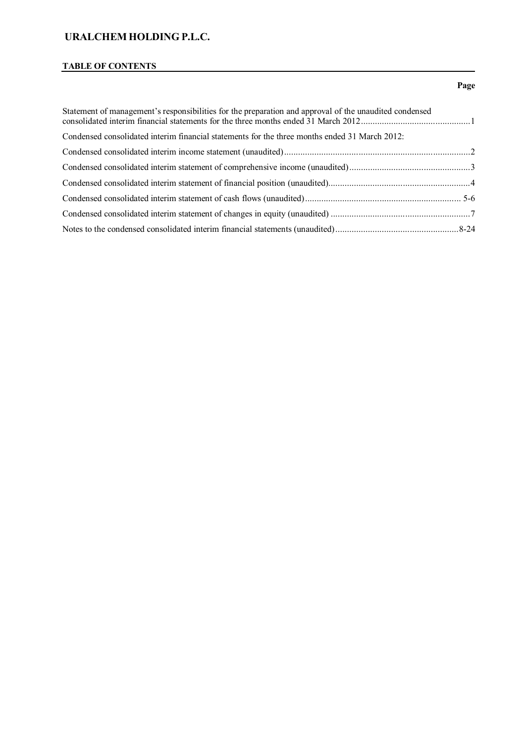#### **TABLE OF CONTENTS**

# Statement of management's responsibilities for the preparation and approval of the unaudited condensed consolidated interim financial statements for the three months ended 31 March 2012...............................................1 Condensed consolidated interim financial statements for the three months ended 31 March 2012: Condensed consolidated interim income statement (unaudited)................................................................................2 Condensed consolidated interim statement of comprehensive income (unaudited)....................................................3 Condensed consolidated interim statement of financial position (unaudited).............................................................4 Condensed consolidated interim statement of cash flows (unaudited)................................................................... 5-6 Condensed consolidated interim statement of changes in equity (unaudited) ............................................................7 Notes to the condensed consolidated interim financial statements (unaudited).....................................................8-24

#### **Page**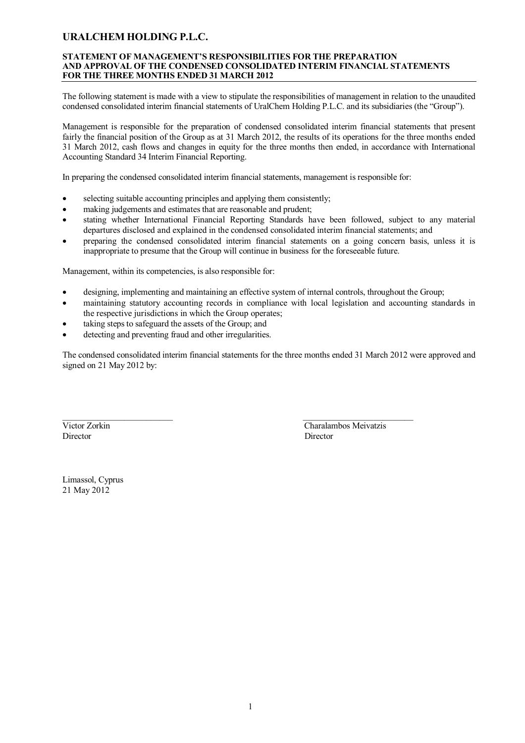#### **STATEMENT OF MANAGEMENT'S RESPONSIBILITIES FOR THE PREPARATION AND APPROVAL OF THE CONDENSED CONSOLIDATED INTERIM FINANCIAL STATEMENTS FOR THE THREE MONTHS ENDED 31 MARCH 2012**

The following statement is made with a view to stipulate the responsibilities of management in relation to the unaudited condensed consolidated interim financial statements of UralChem Holding P.L.C. and its subsidiaries (the "Group").

Management is responsible for the preparation of condensed consolidated interim financial statements that present fairly the financial position of the Group as at 31 March 2012, the results of its operations for the three months ended 31 March 2012, cash flows and changes in equity for the three months then ended, in accordance with International Accounting Standard 34 Interim Financial Reporting.

In preparing the condensed consolidated interim financial statements, management is responsible for:

- selecting suitable accounting principles and applying them consistently;
- making judgements and estimates that are reasonable and prudent;
- stating whether International Financial Reporting Standards have been followed, subject to any material departures disclosed and explained in the condensed consolidated interim financial statements; and
- preparing the condensed consolidated interim financial statements on a going concern basis, unless it is inappropriate to presume that the Group will continue in business for the foreseeable future.

Management, within its competencies, is also responsible for:

- designing, implementing and maintaining an effective system of internal controls, throughout the Group;
- maintaining statutory accounting records in compliance with local legislation and accounting standards in the respective jurisdictions in which the Group operates;
- taking steps to safeguard the assets of the Group; and
- detecting and preventing fraud and other irregularities.

The condensed consolidated interim financial statements for the three months ended 31 March 2012 were approved and signed on 21 May 2012 by:

Director Director Director

\_\_\_\_\_\_\_\_\_\_\_\_\_\_\_\_\_\_\_\_\_\_\_\_\_ \_\_\_\_\_\_\_\_\_\_\_\_\_\_\_\_\_\_\_\_\_\_\_\_\_ Victor Zorkin Charalambos Meivatzis

Limassol, Cyprus 21 May 2012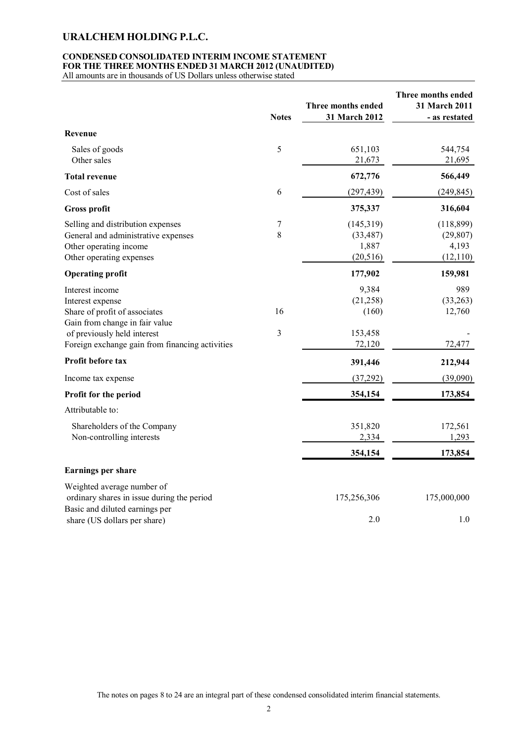### **CONDENSED CONSOLIDATED INTERIM INCOME STATEMENT FOR THE THREE MONTHS ENDED 31 MARCH 2012 (UNAUDITED)**

All amounts are in thousands of US Dollars unless otherwise stated

|                                                                                                                                                                                          | <b>Notes</b> | Three months ended<br>31 March 2012              | Three months ended<br>31 March 2011<br>- as restated |
|------------------------------------------------------------------------------------------------------------------------------------------------------------------------------------------|--------------|--------------------------------------------------|------------------------------------------------------|
| Revenue                                                                                                                                                                                  |              |                                                  |                                                      |
| Sales of goods<br>Other sales                                                                                                                                                            | 5            | 651,103<br>21,673                                | 544,754<br>21,695                                    |
| <b>Total revenue</b>                                                                                                                                                                     |              | 672,776                                          | 566,449                                              |
| Cost of sales                                                                                                                                                                            | 6            | (297, 439)                                       | (249, 845)                                           |
| <b>Gross profit</b>                                                                                                                                                                      |              | 375,337                                          | 316,604                                              |
| Selling and distribution expenses<br>General and administrative expenses<br>Other operating income<br>Other operating expenses                                                           | 7<br>8       | (145,319)<br>(33, 487)<br>1,887<br>(20, 516)     | (118,899)<br>(29, 807)<br>4,193<br>(12,110)          |
| <b>Operating profit</b>                                                                                                                                                                  |              | 177,902                                          | 159,981                                              |
| Interest income<br>Interest expense<br>Share of profit of associates<br>Gain from change in fair value<br>of previously held interest<br>Foreign exchange gain from financing activities | 16<br>3      | 9,384<br>(21, 258)<br>(160)<br>153,458<br>72,120 | 989<br>(33,263)<br>12,760<br>72,477                  |
| Profit before tax                                                                                                                                                                        |              | 391,446                                          | 212,944                                              |
| Income tax expense                                                                                                                                                                       |              | (37, 292)                                        | (39,090)                                             |
| Profit for the period                                                                                                                                                                    |              | 354,154                                          | 173,854                                              |
| Attributable to:                                                                                                                                                                         |              |                                                  |                                                      |
| Shareholders of the Company<br>Non-controlling interests                                                                                                                                 |              | 351,820<br>2,334                                 | 172,561<br>1,293                                     |
|                                                                                                                                                                                          |              | 354,154                                          | 173,854                                              |
| Earnings per share                                                                                                                                                                       |              |                                                  |                                                      |
| Weighted average number of<br>ordinary shares in issue during the period<br>Basic and diluted earnings per                                                                               |              | 175,256,306                                      | 175,000,000                                          |
| share (US dollars per share)                                                                                                                                                             |              | 2.0                                              | 1.0                                                  |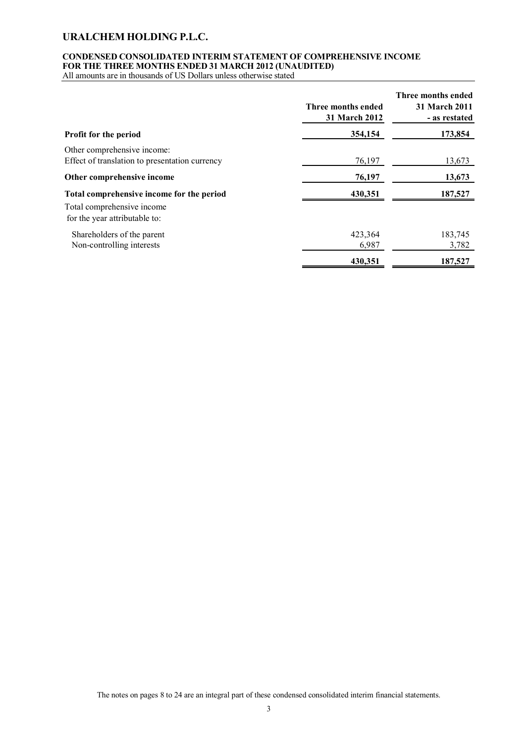### **CONDENSED CONSOLIDATED INTERIM STATEMENT OF COMPREHENSIVE INCOME FOR THE THREE MONTHS ENDED 31 MARCH 2012 (UNAUDITED)**

All amounts are in thousands of US Dollars unless otherwise stated

|                                                                               | Three months ended<br>31 March 2012 | Three months ended<br>31 March 2011<br>- as restated |
|-------------------------------------------------------------------------------|-------------------------------------|------------------------------------------------------|
| Profit for the period                                                         | 354,154                             | 173,854                                              |
| Other comprehensive income:<br>Effect of translation to presentation currency | 76,197                              | 13,673                                               |
| Other comprehensive income                                                    | 76,197                              | 13,673                                               |
| Total comprehensive income for the period                                     | 430,351                             | 187,527                                              |
| Total comprehensive income<br>for the year attributable to:                   |                                     |                                                      |
| Shareholders of the parent                                                    | 423,364                             | 183,745                                              |
| Non-controlling interests                                                     | 6,987                               | 3,782                                                |
|                                                                               | 430,351                             | 187,527                                              |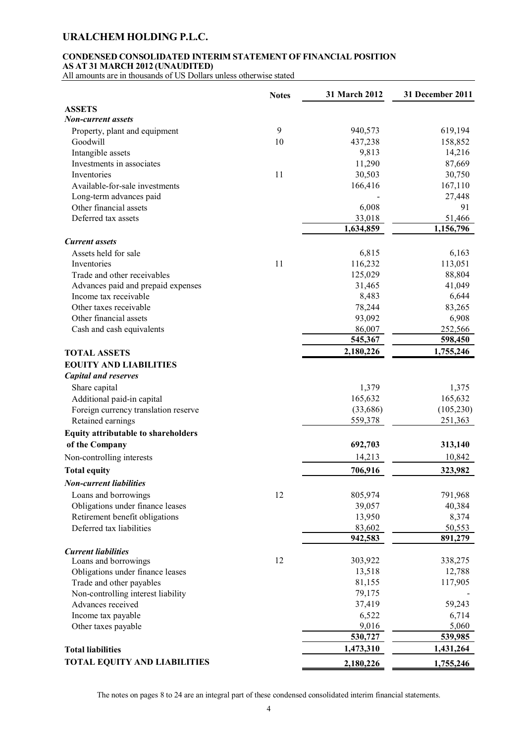### **CONDENSED CONSOLIDATED INTERIM STATEMENT OF FINANCIAL POSITION AS AT 31 MARCH 2012 (UNAUDITED)**

All amounts are in thousands of US Dollars unless otherwise stated

|                                      | <b>Notes</b> | 31 March 2012 | 31 December 2011 |
|--------------------------------------|--------------|---------------|------------------|
| <b>ASSETS</b>                        |              |               |                  |
| <b>Non-current assets</b>            |              |               |                  |
| Property, plant and equipment        | 9            | 940,573       | 619,194          |
| Goodwill                             | 10           | 437,238       | 158,852          |
| Intangible assets                    |              | 9,813         | 14,216           |
| Investments in associates            |              | 11,290        | 87,669           |
| Inventories                          | 11           | 30,503        | 30,750           |
| Available-for-sale investments       |              | 166,416       | 167,110          |
| Long-term advances paid              |              |               | 27,448           |
| Other financial assets               |              | 6,008         | 91               |
| Deferred tax assets                  |              | 33,018        | 51,466           |
|                                      |              | 1,634,859     | 1,156,796        |
| <b>Current</b> assets                |              |               |                  |
| Assets held for sale                 |              | 6,815         | 6,163            |
| <b>Inventories</b>                   | 11           | 116,232       | 113,051          |
| Trade and other receivables          |              | 125,029       | 88,804           |
| Advances paid and prepaid expenses   |              | 31,465        | 41,049           |
| Income tax receivable                |              | 8,483         | 6,644            |
| Other taxes receivable               |              | 78,244        | 83,265           |
| Other financial assets               |              | 93,092        | 6,908            |
| Cash and cash equivalents            |              | 86,007        | 252,566          |
|                                      |              | 545,367       | 598,450          |
| <b>TOTAL ASSETS</b>                  |              | 2,180,226     | 1,755,246        |
| <b>EOUITY AND LIABILITIES</b>        |              |               |                  |
| <b>Capital and reserves</b>          |              |               |                  |
| Share capital                        |              | 1,379         | 1,375            |
| Additional paid-in capital           |              | 165,632       | 165,632          |
| Foreign currency translation reserve |              | (33,686)      | (105, 230)       |
| Retained earnings                    |              | 559,378       | 251,363          |
| Equity attributable to shareholders  |              |               |                  |
| of the Company                       |              | 692,703       | 313,140          |
| Non-controlling interests            |              | 14,213        | 10,842           |
|                                      |              |               |                  |
| <b>Total equity</b>                  |              | 706,916       | 323,982          |
| <b>Non-current liabilities</b>       |              |               |                  |
| Loans and borrowings                 | 12           | 805,974       | 791,968          |
| Obligations under finance leases     |              | 39,057        | 40,384           |
| Retirement benefit obligations       |              | 13,950        | 8,374            |
| Deferred tax liabilities             |              | 83,602        | 50,553           |
|                                      |              | 942,583       | 891,279          |
| <b>Current liabilities</b>           |              |               |                  |
| Loans and borrowings                 | 12           | 303,922       | 338,275          |
| Obligations under finance leases     |              | 13,518        | 12,788           |
| Trade and other payables             |              | 81,155        | 117,905          |
| Non-controlling interest liability   |              | 79,175        |                  |
| Advances received                    |              | 37,419        | 59,243           |
| Income tax payable                   |              | 6,522         | 6,714            |
| Other taxes payable                  |              | 9,016         | 5,060            |
|                                      |              | 530,727       | 539,985          |
| <b>Total liabilities</b>             |              | 1,473,310     | 1,431,264        |
| TOTAL EQUITY AND LIABILITIES         |              | 2,180,226     | 1,755,246        |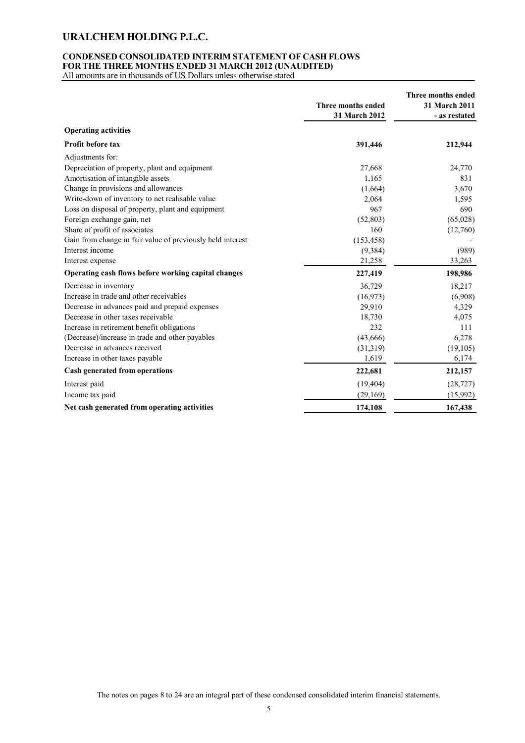### **CONDENSED CONSOLIDATED INTERIM STATEMENT OF CASH FLOWS FOR THE THREE MONTHS ENDED 31 MARCH 2012 (UNAUDITED)**

All amounts are in thousands of US Dollars unless otherwise stated

|                                                            | Three months ended<br><b>31 March 2011</b><br>Three months ended |               |  |
|------------------------------------------------------------|------------------------------------------------------------------|---------------|--|
|                                                            | 31 March 2012                                                    | - as restated |  |
| <b>Operating activities</b>                                |                                                                  |               |  |
| Profit before tax                                          | 391,446                                                          | 212,944       |  |
| Adjustments for:                                           |                                                                  |               |  |
| Depreciation of property, plant and equipment              | 27,668                                                           | 24,770        |  |
| Amortisation of intangible assets                          | 1,165                                                            | 831           |  |
| Change in provisions and allowances                        | (1,664)                                                          | 3,670         |  |
| Write-down of inventory to net realisable value            | 2,064                                                            | 1,595         |  |
| Loss on disposal of property, plant and equipment          | 967                                                              | 690           |  |
| Foreign exchange gain, net                                 | (52,803)                                                         | (65,028)      |  |
| Share of profit of associates                              | 160                                                              | (12,760)      |  |
| Gain from change in fair value of previously held interest | (153, 458)                                                       |               |  |
| Interest income                                            | (9,384)                                                          | (989)         |  |
| Interest expense                                           | 21,258                                                           | 33,263        |  |
| Operating cash flows before working capital changes        | 227,419                                                          | 198,986       |  |
| Decrease in inventory                                      | 36,729                                                           | 18,217        |  |
| Increase in trade and other receivables                    | (16,973)                                                         | (6,908)       |  |
| Decrease in advances paid and prepaid expenses             | 29,910                                                           | 4,329         |  |
| Decrease in other taxes receivable                         | 18,730                                                           | 4,075         |  |
| Increase in retirement benefit obligations                 | 232                                                              | 111           |  |
| (Decrease)/increase in trade and other payables            | (43,666)                                                         | 6,278         |  |
| Decrease in advances received                              | (31, 319)                                                        | (19, 105)     |  |
| Increase in other taxes payable                            | 1,619                                                            | 6,174         |  |
| Cash generated from operations                             | 222,681                                                          | 212,157       |  |
| Interest paid                                              | (19, 404)                                                        | (28, 727)     |  |
| Income tax paid                                            | (29,169)                                                         | (15,992)      |  |
| Net cash generated from operating activities               | 174,108                                                          | 167,438       |  |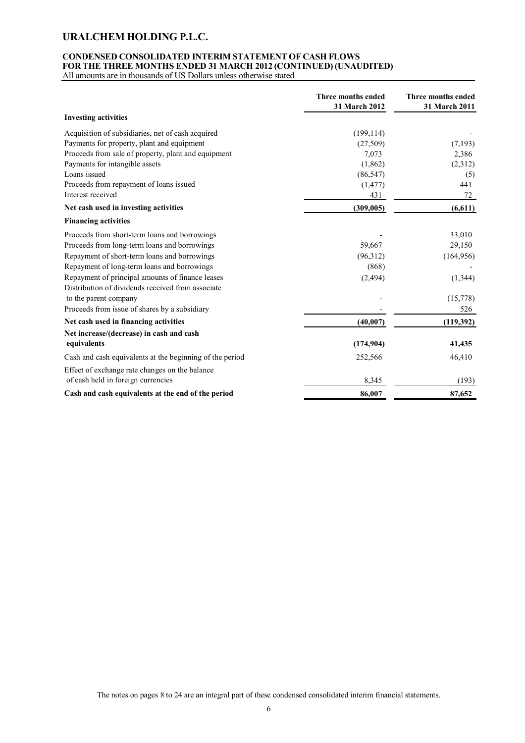# **CONDENSED CONSOLIDATED INTERIM STATEMENT OF CASH FLOWS FOR THE THREE MONTHS ENDED 31 MARCH 2012 (CONTINUED) (UNAUDITED)**

All amounts are in thousands of US Dollars unless otherwise stated

|                                                          | Three months ended<br>31 March 2012 | Three months ended<br>31 March 2011 |
|----------------------------------------------------------|-------------------------------------|-------------------------------------|
| <b>Investing activities</b>                              |                                     |                                     |
| Acquisition of subsidiaries, net of cash acquired        | (199, 114)                          |                                     |
| Payments for property, plant and equipment               | (27,509)                            | (7,193)                             |
| Proceeds from sale of property, plant and equipment      | 7,073                               | 2,386                               |
| Payments for intangible assets                           | (1,862)                             | (2,312)                             |
| Loans issued                                             | (86, 547)                           | (5)                                 |
| Proceeds from repayment of loans issued                  | (1, 477)                            | 441                                 |
| Interest received                                        | 431                                 | 72                                  |
| Net cash used in investing activities                    | (309, 005)                          | (6,611)                             |
| <b>Financing activities</b>                              |                                     |                                     |
| Proceeds from short-term loans and borrowings            |                                     | 33,010                              |
| Proceeds from long-term loans and borrowings             | 59,667                              | 29,150                              |
| Repayment of short-term loans and borrowings             | (96,312)                            | (164, 956)                          |
| Repayment of long-term loans and borrowings              | (868)                               |                                     |
| Repayment of principal amounts of finance leases         | (2, 494)                            | (1, 344)                            |
| Distribution of dividends received from associate        |                                     |                                     |
| to the parent company                                    |                                     | (15,778)                            |
| Proceeds from issue of shares by a subsidiary            |                                     | 526                                 |
| Net cash used in financing activities                    | (40,007)                            | (119,392)                           |
| Net increase/(decrease) in cash and cash                 |                                     |                                     |
| equivalents                                              | (174,904)                           | 41,435                              |
| Cash and cash equivalents at the beginning of the period | 252,566                             | 46,410                              |
| Effect of exchange rate changes on the balance           |                                     |                                     |
| of cash held in foreign currencies                       | 8,345                               | (193)                               |
| Cash and cash equivalents at the end of the period       | 86,007                              | 87,652                              |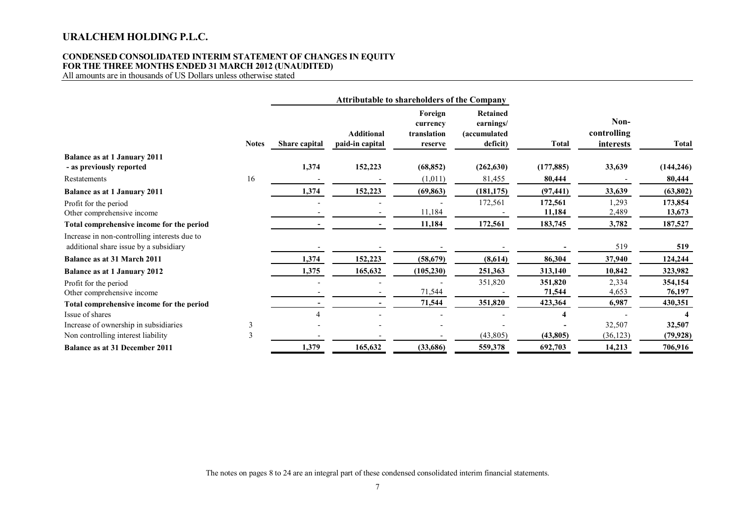#### **CONDENSED CONSOLIDATED INTERIM STATEMENT OF CHANGES IN EQUITY FOR THE THREE MONTHS ENDED 31 MARCH 2012 (UNAUDITED)**

All amounts are in thousands of US Dollars unless otherwise stated

|                                                                                        |              | <b>Attributable to shareholders of the Company</b> |                                      |                                               |                                                                  |                   |                                  |                   |
|----------------------------------------------------------------------------------------|--------------|----------------------------------------------------|--------------------------------------|-----------------------------------------------|------------------------------------------------------------------|-------------------|----------------------------------|-------------------|
|                                                                                        | <b>Notes</b> | Share capital                                      | <b>Additional</b><br>paid-in capital | Foreign<br>currency<br>translation<br>reserve | <b>Retained</b><br>earnings/<br><i>(accumulated)</i><br>deficit) | <b>Total</b>      | Non-<br>controlling<br>interests | <b>Total</b>      |
| <b>Balance as at 1 January 2011</b>                                                    |              |                                                    |                                      |                                               |                                                                  |                   |                                  |                   |
| - as previously reported                                                               |              | 1,374                                              | 152,223                              | (68, 852)                                     | (262, 630)                                                       | (177, 885)        | 33,639                           | (144,246)         |
| Restatements                                                                           | 16           |                                                    |                                      | (1,011)                                       | 81,455                                                           | 80,444            |                                  | 80,444            |
| <b>Balance as at 1 January 2011</b>                                                    |              | 1,374                                              | 152,223                              | (69, 863)                                     | (181, 175)                                                       | (97, 441)         | 33,639                           | (63, 802)         |
| Profit for the period<br>Other comprehensive income                                    |              |                                                    |                                      | 11,184                                        | 172,561                                                          | 172,561<br>11,184 | 1,293<br>2,489                   | 173,854<br>13,673 |
| Total comprehensive income for the period                                              |              |                                                    |                                      | 11,184                                        | 172,561                                                          | 183,745           | 3,782                            | 187,527           |
| Increase in non-controlling interests due to<br>additional share issue by a subsidiary |              |                                                    |                                      |                                               |                                                                  |                   | 519                              | 519               |
| <b>Balance as at 31 March 2011</b>                                                     |              | 1,374                                              | 152,223                              | (58, 679)                                     | (8,614)                                                          | 86,304            | 37,940                           | 124,244           |
| <b>Balance as at 1 January 2012</b>                                                    |              | 1,375                                              | 165,632                              | (105, 230)                                    | 251,363                                                          | 313,140           | 10,842                           | 323,982           |
| Profit for the period<br>Other comprehensive income                                    |              |                                                    |                                      | 71,544                                        | 351,820                                                          | 351,820<br>71,544 | 2,334<br>4,653                   | 354,154<br>76,197 |
| Total comprehensive income for the period                                              |              |                                                    |                                      | 71,544                                        | 351,820                                                          | 423,364           | 6,987                            | 430,351           |
| Issue of shares                                                                        |              |                                                    |                                      |                                               |                                                                  |                   |                                  |                   |
| Increase of ownership in subsidiaries                                                  | 3            |                                                    |                                      |                                               |                                                                  |                   | 32,507                           | 32,507            |
| Non controlling interest liability                                                     | 3            |                                                    |                                      |                                               | (43,805)                                                         | (43,805)          | (36, 123)                        | (79, 928)         |
| <b>Balance as at 31 December 2011</b>                                                  |              | 1,379                                              | 165,632                              | (33,686)                                      | 559,378                                                          | 692,703           | 14,213                           | 706,916           |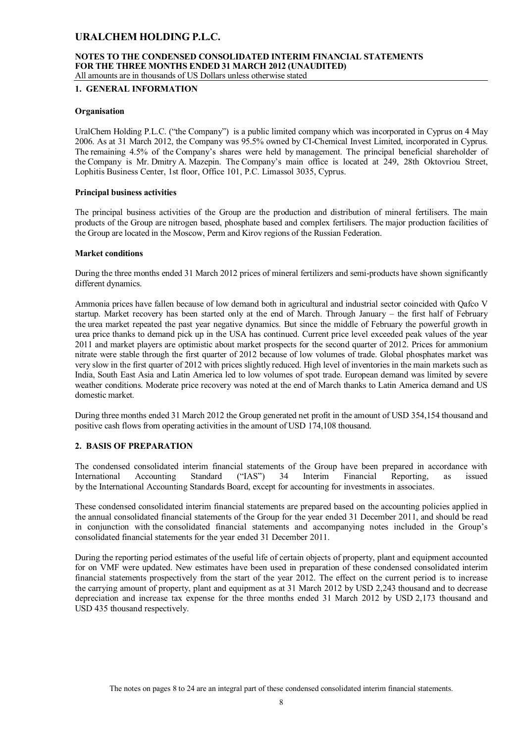### **NOTES TO THE CONDENSED CONSOLIDATED INTERIM FINANCIAL STATEMENTS FOR THE THREE MONTHS ENDED 31 MARCH 2012 (UNAUDITED)** All amounts are in thousands of US Dollars unless otherwise stated

**1. GENERAL INFORMATION**

### **Organisation**

UralChem Holding P.L.C. ("the Company") is a public limited company which was incorporated in Cyprus on 4 May 2006. As at 31 March 2012, the Company was 95.5% owned by CI-Chemical Invest Limited, incorporated in Cyprus. The remaining 4.5% of the Company's shares were held by management. The principal beneficial shareholder of the Company is Mr. Dmitry A. Mazepin. The Company's main office is located at 249, 28th Oktovriou Street, Lophitis Business Center, 1st floor, Office 101, P.C. Limassol 3035, Cyprus.

### **Principal business activities**

The principal business activities of the Group are the production and distribution of mineral fertilisers. The main products of the Group are nitrogen based, phosphate based and complex fertilisers. The major production facilities of the Group are located in the Moscow, Perm and Kirov regions of the Russian Federation.

### **Market conditions**

During the three months ended 31 March 2012 prices of mineral fertilizers and semi-products have shown significantly different dynamics.

Ammonia prices have fallen because of low demand both in agricultural and industrial sector coincided with Qafco V startup. Market recovery has been started only at the end of March. Through January – the first half of February the urea market repeated the past year negative dynamics. But since the middle of February the powerful growth in urea price thanks to demand pick up in the USA has continued. Current price level exceeded peak values of the year 2011 and market players are optimistic about market prospects for the second quarter of 2012. Prices for ammonium nitrate were stable through the first quarter of 2012 because of low volumes of trade. Global phosphates market was very slow in the first quarter of 2012 with prices slightly reduced. High level of inventories in the main markets such as India, South East Asia and Latin America led to low volumes of spot trade. European demand was limited by severe weather conditions. Moderate price recovery was noted at the end of March thanks to Latin America demand and US domestic market.

During three months ended 31 March 2012 the Group generated net profit in the amount of USD 354,154 thousand and positive cash flows from operating activities in the amount of USD 174,108 thousand.

### **2. BASIS OF PREPARATION**

The condensed consolidated interim financial statements of the Group have been prepared in accordance with<br>International Accounting Standard ("IAS") 34 Interim Financial Reporting as issued International Accounting Standard ("IAS") 34 Interim Financial Reporting, as issued by the International Accounting Standards Board, except for accounting for investments in associates.

These condensed consolidated interim financial statements are prepared based on the accounting policies applied in the annual consolidated financial statements of the Group for the year ended 31 December 2011, and should be read in conjunction with the consolidated financial statements and accompanying notes included in the Group's consolidated financial statements for the year ended 31 December 2011.

During the reporting period estimates of the useful life of certain objects of property, plant and equipment accounted for on VMF were updated. New estimates have been used in preparation of these condensed consolidated interim financial statements prospectively from the start of the year 2012. The effect on the current period is to increase the carrying amount of property, plant and equipment as at 31 March 2012 by USD 2,243 thousand and to decrease depreciation and increase tax expense for the three months ended 31 March 2012 by USD 2,173 thousand and USD 435 thousand respectively.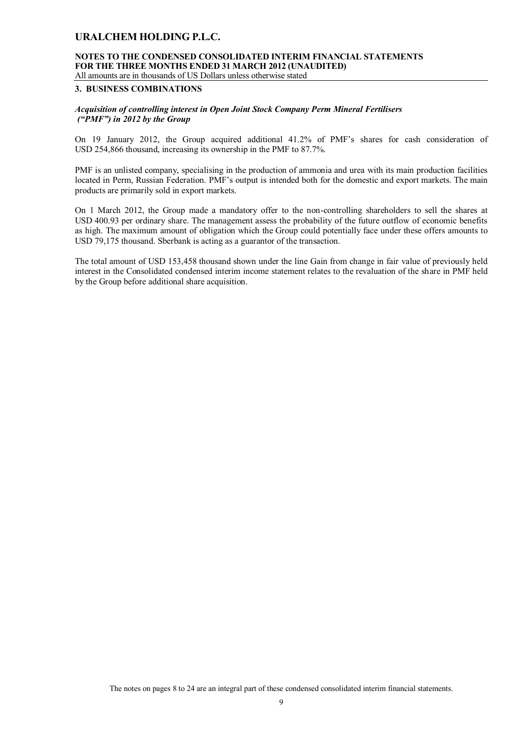#### **NOTES TO THE CONDENSED CONSOLIDATED INTERIM FINANCIAL STATEMENTS FOR THE THREE MONTHS ENDED 31 MARCH 2012 (UNAUDITED)** All amounts are in thousands of US Dollars unless otherwise stated

### **3. BUSINESS COMBINATIONS**

### *Acquisition of controlling interest in Open Joint Stock Company Perm Mineral Fertilisers ("PMF") in 2012 by the Group*

On 19 January 2012, the Group acquired additional 41.2% of PMF's shares for cash consideration of USD 254,866 thousand, increasing its ownership in the PMF to 87.7%.

PMF is an unlisted company, specialising in the production of ammonia and urea with its main production facilities located in Perm, Russian Federation. PMF's output is intended both for the domestic and export markets. The main products are primarily sold in export markets.

On 1 March 2012, the Group made a mandatory offer to the non-controlling shareholders to sell the shares at USD 400.93 per ordinary share. The management assess the probability of the future outflow of economic benefits as high. The maximum amount of obligation which the Group could potentially face under these offers amounts to USD 79,175 thousand. Sberbank is acting as a guarantor of the transaction.

The total amount of USD 153,458 thousand shown under the line Gain from change in fair value of previously held interest in the Consolidated condensed interim income statement relates to the revaluation of the share in PMF held by the Group before additional share acquisition.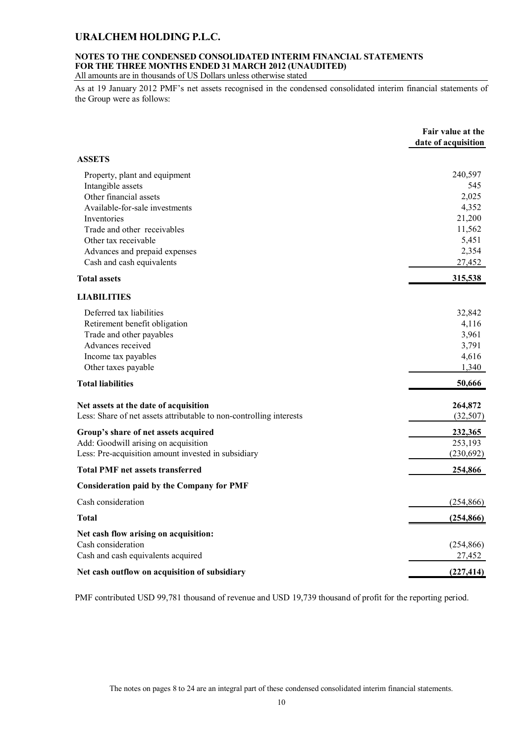# **NOTES TO THE CONDENSED CONSOLIDATED INTERIM FINANCIAL STATEMENTS FOR THE THREE MONTHS ENDED 31 MARCH 2012 (UNAUDITED)**

All amounts are in thousands of US Dollars unless otherwise stated

As at 19 January 2012 PMF's net assets recognised in the condensed consolidated interim financial statements of the Group were as follows:

|                                                                     | Fair value at the<br>date of acquisition |
|---------------------------------------------------------------------|------------------------------------------|
| <b>ASSETS</b>                                                       |                                          |
| Property, plant and equipment                                       | 240,597                                  |
| Intangible assets                                                   | 545                                      |
| Other financial assets                                              | 2,025                                    |
| Available-for-sale investments                                      | 4,352                                    |
| Inventories                                                         | 21,200                                   |
| Trade and other receivables                                         | 11,562                                   |
| Other tax receivable                                                | 5,451                                    |
| Advances and prepaid expenses                                       | 2,354                                    |
| Cash and cash equivalents                                           | 27,452                                   |
| <b>Total assets</b>                                                 | 315,538                                  |
| <b>LIABILITIES</b>                                                  |                                          |
| Deferred tax liabilities                                            | 32,842                                   |
| Retirement benefit obligation                                       | 4,116                                    |
| Trade and other payables                                            | 3,961                                    |
| Advances received                                                   | 3,791                                    |
| Income tax payables                                                 | 4,616                                    |
| Other taxes payable                                                 | 1,340                                    |
| <b>Total liabilities</b>                                            | 50,666                                   |
| Net assets at the date of acquisition                               | 264,872                                  |
| Less: Share of net assets attributable to non-controlling interests | (32,507)                                 |
| Group's share of net assets acquired                                | 232,365                                  |
| Add: Goodwill arising on acquisition                                | 253,193                                  |
| Less: Pre-acquisition amount invested in subsidiary                 | (230,692)                                |
| <b>Total PMF net assets transferred</b>                             | 254,866                                  |
| <b>Consideration paid by the Company for PMF</b>                    |                                          |
| Cash consideration                                                  | (254, 866)                               |
| Total                                                               | (254, 866)                               |
| Net cash flow arising on acquisition:                               |                                          |
| Cash consideration                                                  | (254, 866)                               |
| Cash and cash equivalents acquired                                  | 27,452                                   |
| Net cash outflow on acquisition of subsidiary                       | (227, 414)                               |

PMF contributed USD 99,781 thousand of revenue and USD 19,739 thousand of profit for the reporting period.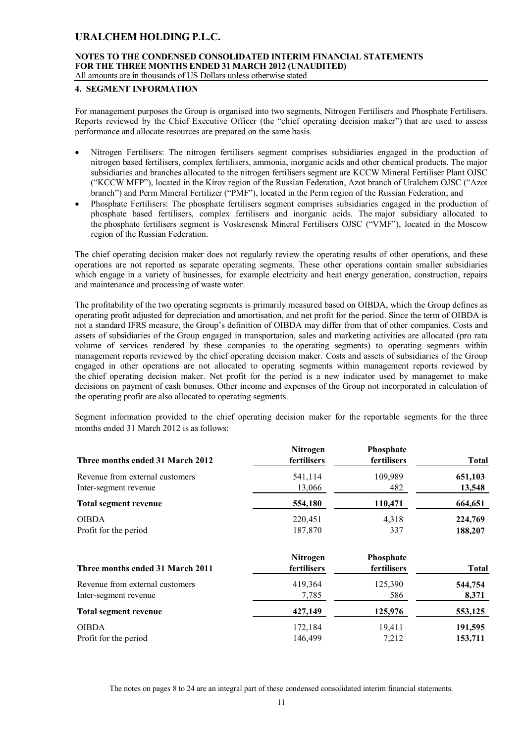# **NOTES TO THE CONDENSED CONSOLIDATED INTERIM FINANCIAL STATEMENTS FOR THE THREE MONTHS ENDED 31 MARCH 2012 (UNAUDITED)**

All amounts are in thousands of US Dollars unless otherwise stated

#### **4. SEGMENT INFORMATION**

For management purposes the Group is organised into two segments, Nitrogen Fertilisers and Phosphate Fertilisers. Reports reviewed by the Chief Executive Officer (the "chief operating decision maker") that are used to assess performance and allocate resources are prepared on the same basis.

- Nitrogen Fertilisers: The nitrogen fertilisers segment comprises subsidiaries engaged in the production of nitrogen based fertilisers, complex fertilisers, ammonia, inorganic acids and other chemical products. The major subsidiaries and branches allocated to the nitrogen fertilisers segment are KCCW Mineral Fertiliser Plant OJSC ("KCCW MFP"), located in the Kirov region of the Russian Federation, Azot branch of Uralchem OJSC ("Azot branch") and Perm Mineral Fertilizer ("PMF"), located in the Perm region of the Russian Federation; and
- Phosphate Fertilisers: The phosphate fertilisers segment comprises subsidiaries engaged in the production of phosphate based fertilisers, complex fertilisers and inorganic acids. The major subsidiary allocated to the phosphate fertilisers segment is Voskresensk Mineral Fertilisers OJSC ("VMF"), located in the Moscow region of the Russian Federation.

The chief operating decision maker does not regularly review the operating results of other operations, and these operations are not reported as separate operating segments. These other operations contain smaller subsidiaries which engage in a variety of businesses, for example electricity and heat energy generation, construction, repairs and maintenance and processing of waste water.

The profitability of the two operating segments is primarily measured based on OIBDA, which the Group defines as operating profit adjusted for depreciation and amortisation, and net profit for the period. Since the term of OIBDA is not a standard IFRS measure, the Group's definition of OIBDA may differ from that of other companies. Costs and assets of subsidiaries of the Group engaged in transportation, sales and marketing activities are allocated (pro rata volume of services rendered by these companies to the operating segments) to operating segments within management reports reviewed by the chief operating decision maker. Costs and assets of subsidiaries of the Group engaged in other operations are not allocated to operating segments within management reports reviewed by the chief operating decision maker. Net profit for the period is a new indicator used by managemet to make decisions on payment of cash bonuses. Other income and expenses of the Group not incorporated in calculation of the operating profit are also allocated to operating segments.

Segment information provided to the chief operating decision maker for the reportable segments for the three months ended 31 March 2012 is as follows:

| Three months ended 31 March 2012 | <b>Nitrogen</b><br>fertilisers | <b>Phosphate</b><br>fertilisers | <b>Total</b> |
|----------------------------------|--------------------------------|---------------------------------|--------------|
| Revenue from external customers  | 541,114                        | 109,989                         | 651,103      |
| Inter-segment revenue            | 13,066                         | 482                             | 13,548       |
| Total segment revenue            | 554,180                        | 110,471                         | 664,651      |
| <b>OIBDA</b>                     | 220,451                        | 4,318                           | 224,769      |
| Profit for the period            | 187,870                        | 337                             | 188,207      |
| Three months ended 31 March 2011 | <b>Nitrogen</b><br>fertilisers | Phosphate<br>fertilisers        | <b>Total</b> |
| Revenue from external customers  | 419,364                        | 125,390                         | 544,754      |
| Inter-segment revenue            | 7,785                          | 586                             | 8,371        |
| <b>Total segment revenue</b>     | 427,149                        | 125,976                         | 553,125      |
| <b>OIBDA</b>                     | 172,184                        | 19,411                          | 191,595      |
| Profit for the period            | 146,499                        | 7,212                           | 153,711      |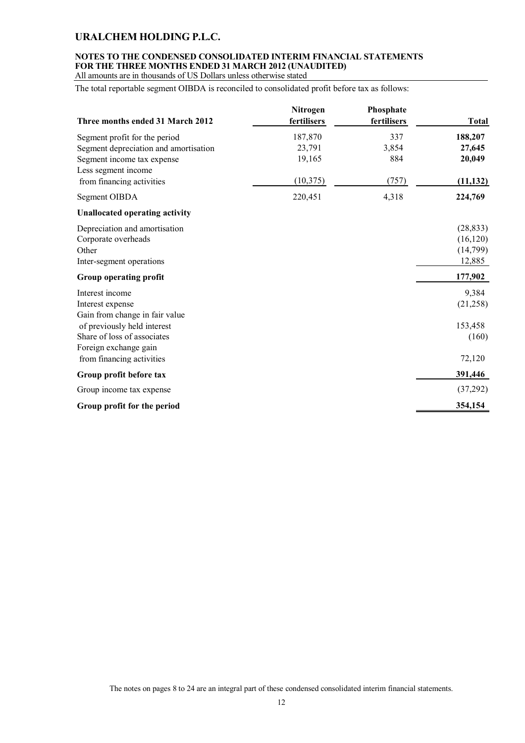### **NOTES TO THE CONDENSED CONSOLIDATED INTERIM FINANCIAL STATEMENTS FOR THE THREE MONTHS ENDED 31 MARCH 2012 (UNAUDITED)**

All amounts are in thousands of US Dollars unless otherwise stated

The total reportable segment OIBDA is reconciled to consolidated profit before tax as follows:

| Three months ended 31 March 2012                                                                                            | <b>Nitrogen</b><br>fertilisers | Phosphate<br>fertilisers | <b>Total</b>                                 |
|-----------------------------------------------------------------------------------------------------------------------------|--------------------------------|--------------------------|----------------------------------------------|
| Segment profit for the period<br>Segment depreciation and amortisation<br>Segment income tax expense<br>Less segment income | 187,870<br>23,791<br>19,165    | 337<br>3,854<br>884      | 188,207<br>27,645<br>20,049                  |
| from financing activities                                                                                                   | (10, 375)                      | (757)                    | (11, 132)                                    |
| Segment OIBDA                                                                                                               | 220,451                        | 4,318                    | 224,769                                      |
| <b>Unallocated operating activity</b>                                                                                       |                                |                          |                                              |
| Depreciation and amortisation<br>Corporate overheads<br>Other<br>Inter-segment operations                                   |                                |                          | (28, 833)<br>(16, 120)<br>(14,799)<br>12,885 |
| Group operating profit                                                                                                      |                                |                          | 177,902                                      |
| Interest income<br>Interest expense<br>Gain from change in fair value                                                       |                                |                          | 9,384<br>(21, 258)                           |
| of previously held interest<br>Share of loss of associates<br>Foreign exchange gain                                         |                                |                          | 153,458<br>(160)                             |
| from financing activities                                                                                                   |                                |                          | 72,120                                       |
| Group profit before tax                                                                                                     |                                |                          | 391,446                                      |
| Group income tax expense                                                                                                    |                                |                          | (37,292)                                     |
| Group profit for the period                                                                                                 |                                |                          | 354,154                                      |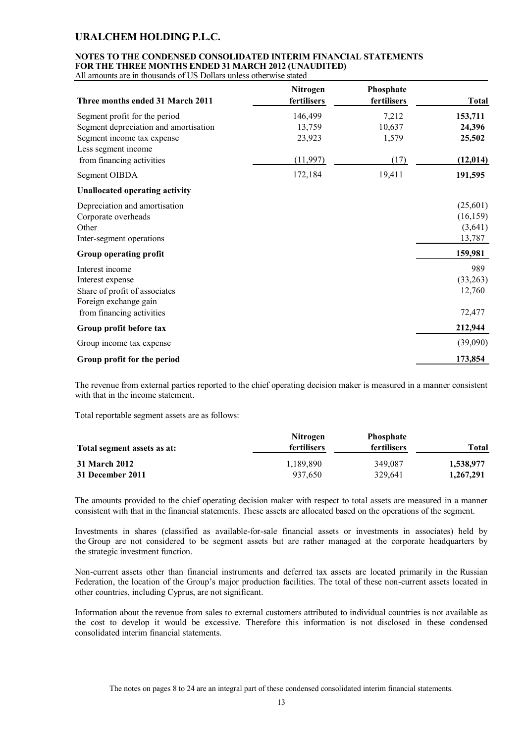### **NOTES TO THE CONDENSED CONSOLIDATED INTERIM FINANCIAL STATEMENTS FOR THE THREE MONTHS ENDED 31 MARCH 2012 (UNAUDITED)**

All amounts are in thousands of US Dollars unless otherwise stated

| Three months ended 31 March 2011                                                                     | Nitrogen<br>fertilisers     | Phosphate<br>fertilisers | <b>Total</b>                               |
|------------------------------------------------------------------------------------------------------|-----------------------------|--------------------------|--------------------------------------------|
| Segment profit for the period<br>Segment depreciation and amortisation<br>Segment income tax expense | 146,499<br>13,759<br>23,923 | 7,212<br>10,637<br>1,579 | 153,711<br>24,396<br>25,502                |
| Less segment income<br>from financing activities                                                     | (11, 997)                   | (17)                     | (12, 014)                                  |
| Segment OIBDA                                                                                        | 172,184                     | 19,411                   | 191,595                                    |
| <b>Unallocated operating activity</b>                                                                |                             |                          |                                            |
| Depreciation and amortisation<br>Corporate overheads<br>Other<br>Inter-segment operations            |                             |                          | (25,601)<br>(16, 159)<br>(3,641)<br>13,787 |
| Group operating profit                                                                               |                             |                          | 159,981                                    |
| Interest income<br>Interest expense<br>Share of profit of associates<br>Foreign exchange gain        |                             |                          | 989<br>(33,263)<br>12,760                  |
| from financing activities                                                                            |                             |                          | 72,477                                     |
| Group profit before tax                                                                              |                             |                          | 212,944                                    |
| Group income tax expense                                                                             |                             |                          | (39,090)                                   |
| Group profit for the period                                                                          |                             |                          | 173,854                                    |

The revenue from external parties reported to the chief operating decision maker is measured in a manner consistent with that in the income statement.

Total reportable segment assets are as follows:

| Total segment assets as at: | <b>Nitrogen</b><br><b>fertilisers</b> | <b>Phosphate</b><br><b>fertilisers</b> | Total     |
|-----------------------------|---------------------------------------|----------------------------------------|-----------|
| <b>31 March 2012</b>        | 1,189,890                             | 349,087                                | 1,538,977 |
| 31 December 2011            | 937.650                               | 329.641                                | 1,267,291 |

The amounts provided to the chief operating decision maker with respect to total assets are measured in a manner consistent with that in the financial statements. These assets are allocated based on the operations of the segment.

Investments in shares (classified as available-for-sale financial assets or investments in associates) held by the Group are not considered to be segment assets but are rather managed at the corporate headquarters by the strategic investment function.

Non-current assets other than financial instruments and deferred tax assets are located primarily in the Russian Federation, the location of the Group's major production facilities. The total of these non-current assets located in other countries, including Cyprus, are not significant.

Information about the revenue from sales to external customers attributed to individual countries is not available as the cost to develop it would be excessive. Therefore this information is not disclosed in these condensed consolidated interim financial statements.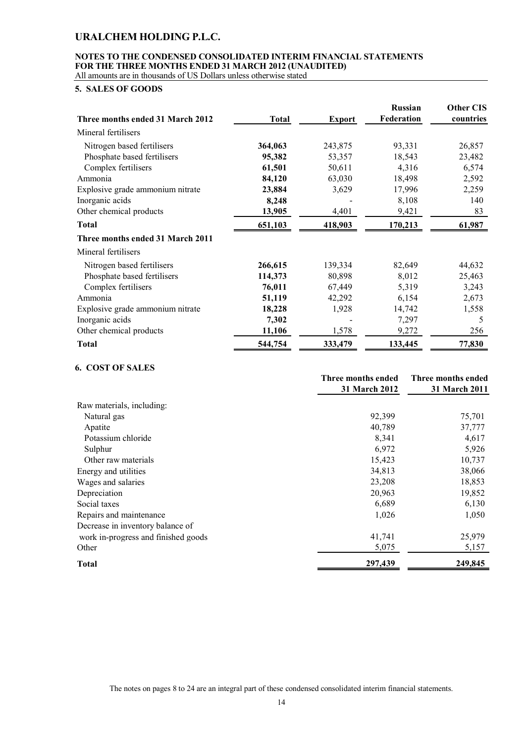### **NOTES TO THE CONDENSED CONSOLIDATED INTERIM FINANCIAL STATEMENTS FOR THE THREE MONTHS ENDED 31 MARCH 2012 (UNAUDITED)**

# All amounts are in thousands of US Dollars unless otherwise stated

### **5. SALES OF GOODS**

| Three months ended 31 March 2012 | <b>Total</b> | <b>Export</b> | <b>Russian</b><br>Federation | <b>Other CIS</b><br>countries |
|----------------------------------|--------------|---------------|------------------------------|-------------------------------|
| Mineral fertilisers              |              |               |                              |                               |
| Nitrogen based fertilisers       | 364,063      | 243,875       | 93,331                       | 26,857                        |
| Phosphate based fertilisers      | 95,382       | 53,357        | 18,543                       | 23,482                        |
| Complex fertilisers              | 61,501       | 50,611        | 4,316                        | 6,574                         |
| Ammonia                          | 84,120       | 63,030        | 18,498                       | 2,592                         |
| Explosive grade ammonium nitrate | 23,884       | 3,629         | 17,996                       | 2,259                         |
| Inorganic acids                  | 8,248        |               | 8,108                        | 140                           |
| Other chemical products          | 13,905       | 4,401         | 9,421                        | 83                            |
| <b>Total</b>                     | 651,103      | 418,903       | 170,213                      | 61,987                        |
| Three months ended 31 March 2011 |              |               |                              |                               |
| Mineral fertilisers              |              |               |                              |                               |
| Nitrogen based fertilisers       | 266,615      | 139,334       | 82,649                       | 44,632                        |
| Phosphate based fertilisers      | 114,373      | 80,898        | 8,012                        | 25,463                        |
| Complex fertilisers              | 76,011       | 67,449        | 5,319                        | 3,243                         |
| Ammonia                          | 51,119       | 42,292        | 6,154                        | 2,673                         |
| Explosive grade ammonium nitrate | 18,228       | 1,928         | 14,742                       | 1,558                         |
| Inorganic acids                  | 7,302        |               | 7,297                        | 5                             |
| Other chemical products          | 11,106       | 1,578         | 9,272                        | 256                           |
| <b>Total</b>                     | 544,754      | 333,479       | 133,445                      | 77,830                        |

### **6. COST OF SALES**

|                                     | Three months ended | Three months ended |
|-------------------------------------|--------------------|--------------------|
|                                     | 31 March 2012      | 31 March 2011      |
| Raw materials, including:           |                    |                    |
| Natural gas                         | 92,399             | 75,701             |
| Apatite                             | 40,789             | 37,777             |
| Potassium chloride                  | 8,341              | 4,617              |
| Sulphur                             | 6,972              | 5,926              |
| Other raw materials                 | 15,423             | 10,737             |
| Energy and utilities                | 34,813             | 38,066             |
| Wages and salaries                  | 23,208             | 18,853             |
| Depreciation                        | 20,963             | 19,852             |
| Social taxes                        | 6,689              | 6,130              |
| Repairs and maintenance             | 1,026              | 1,050              |
| Decrease in inventory balance of    |                    |                    |
| work in-progress and finished goods | 41,741             | 25,979             |
| Other                               | 5,075              | 5,157              |
| <b>Total</b>                        | 297,439            | 249,845            |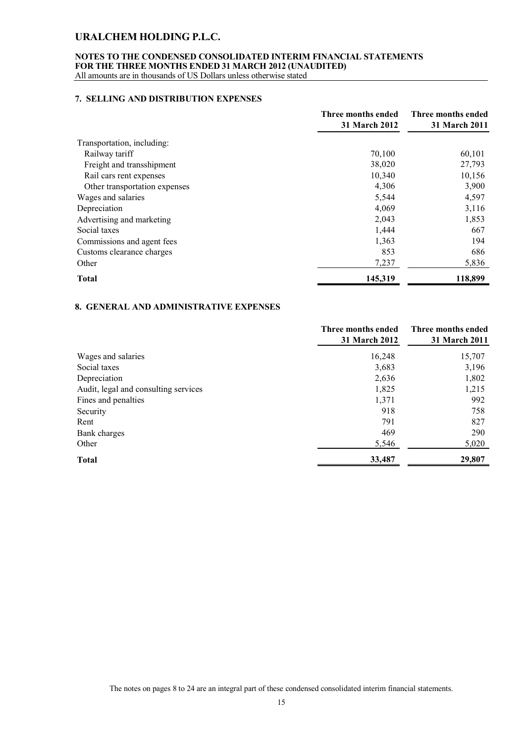### **NOTES TO THE CONDENSED CONSOLIDATED INTERIM FINANCIAL STATEMENTS FOR THE THREE MONTHS ENDED 31 MARCH 2012 (UNAUDITED)**

All amounts are in thousands of US Dollars unless otherwise stated

### **7. SELLING AND DISTRIBUTION EXPENSES**

|                               | Three months ended<br><b>31 March 2012</b> | Three months ended<br><b>31 March 2011</b> |
|-------------------------------|--------------------------------------------|--------------------------------------------|
| Transportation, including:    |                                            |                                            |
| Railway tariff                | 70,100                                     | 60,101                                     |
| Freight and transshipment     | 38,020                                     | 27,793                                     |
| Rail cars rent expenses       | 10,340                                     | 10,156                                     |
| Other transportation expenses | 4,306                                      | 3,900                                      |
| Wages and salaries            | 5,544                                      | 4,597                                      |
| Depreciation                  | 4,069                                      | 3,116                                      |
| Advertising and marketing     | 2,043                                      | 1,853                                      |
| Social taxes                  | 1,444                                      | 667                                        |
| Commissions and agent fees    | 1,363                                      | 194                                        |
| Customs clearance charges     | 853                                        | 686                                        |
| Other                         | 7,237                                      | 5,836                                      |
| <b>Total</b>                  | 145,319                                    | 118,899                                    |

### **8. GENERAL AND ADMINISTRATIVE EXPENSES**

|                                      | Three months ended<br>31 March 2012 | Three months ended<br>31 March 2011 |
|--------------------------------------|-------------------------------------|-------------------------------------|
| Wages and salaries                   | 16,248                              | 15,707                              |
| Social taxes                         | 3,683                               | 3,196                               |
| Depreciation                         | 2,636                               | 1,802                               |
| Audit, legal and consulting services | 1,825                               | 1,215                               |
| Fines and penalties                  | 1,371                               | 992                                 |
| Security                             | 918                                 | 758                                 |
| Rent                                 | 791                                 | 827                                 |
| Bank charges                         | 469                                 | 290                                 |
| Other                                | 5,546                               | 5,020                               |
| <b>Total</b>                         | 33,487                              | 29,807                              |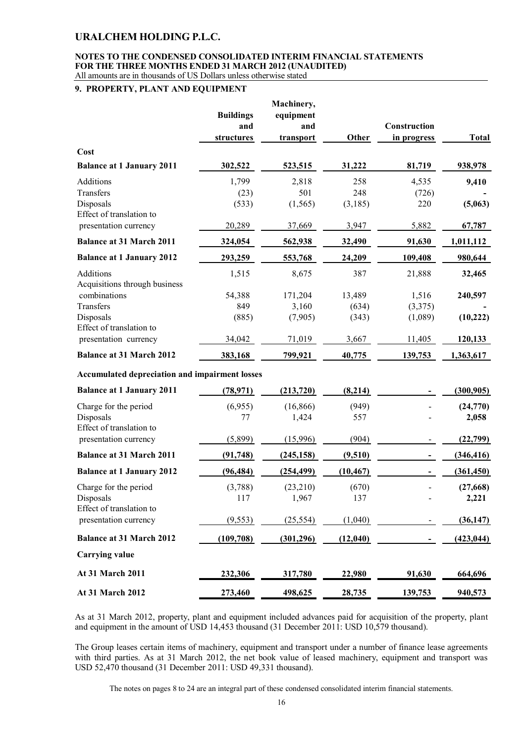#### **NOTES TO THE CONDENSED CONSOLIDATED INTERIM FINANCIAL STATEMENTS FOR THE THREE MONTHS ENDED 31 MARCH 2012 (UNAUDITED)** All amounts are in thousands of US Dollars unless otherwise stated

### **9. PROPERTY, PLANT AND EQUIPMENT**

|                                                |                  | Machinery, |           |              |              |
|------------------------------------------------|------------------|------------|-----------|--------------|--------------|
|                                                | <b>Buildings</b> | equipment  |           |              |              |
|                                                | and              | and        |           | Construction |              |
|                                                | structures       | transport  | Other     | in progress  | <b>Total</b> |
| Cost                                           |                  |            |           |              |              |
| <b>Balance at 1 January 2011</b>               | 302,522          | 523,515    | 31,222    | 81,719       | 938,978      |
| Additions                                      | 1,799            | 2,818      | 258       | 4,535        | 9,410        |
| Transfers                                      | (23)             | 501        | 248       | (726)        |              |
| Disposals                                      | (533)            | (1, 565)   | (3,185)   | 220          | (5,063)      |
| Effect of translation to                       |                  |            |           |              |              |
| presentation currency                          | 20,289           | 37,669     | 3,947     | 5,882        | 67,787       |
| <b>Balance at 31 March 2011</b>                | 324,054          | 562,938    | 32,490    | 91,630       | 1,011,112    |
| <b>Balance at 1 January 2012</b>               | 293,259          | 553,768    | 24,209    | 109,408      | 980,644      |
| Additions                                      | 1,515            | 8,675      | 387       | 21,888       | 32,465       |
| Acquisitions through business                  |                  |            |           |              |              |
| combinations                                   | 54,388           | 171,204    | 13,489    | 1,516        | 240,597      |
| Transfers                                      | 849              | 3,160      | (634)     | (3,375)      |              |
| Disposals                                      | (885)            | (7,905)    | (343)     | (1,089)      | (10, 222)    |
| Effect of translation to                       |                  |            |           |              |              |
| presentation currency                          | 34,042           | 71,019     | 3,667     | 11,405       | 120,133      |
| <b>Balance at 31 March 2012</b>                | 383,168          | 799,921    | 40,775    | 139,753      | 1,363,617    |
| Accumulated depreciation and impairment losses |                  |            |           |              |              |
| <b>Balance at 1 January 2011</b>               | (78, 971)        | (213, 720) | (8,214)   |              | (300, 905)   |
| Charge for the period                          | (6,955)          | (16, 866)  | (949)     |              | (24,770)     |
| Disposals                                      | 77               | 1,424      | 557       |              | 2,058        |
| Effect of translation to                       |                  |            |           |              |              |
| presentation currency                          | (5,899)          | (15,996)   | (904)     |              | (22,799)     |
| <b>Balance at 31 March 2011</b>                | (91, 748)        | (245, 158) | (9,510)   |              | (346, 416)   |
| <b>Balance at 1 January 2012</b>               | (96, 484)        | (254, 499) | (10, 467) |              | (361, 450)   |
| Charge for the period                          | (3,788)          | (23,210)   | (670)     |              | (27, 668)    |
| Disposals                                      | 117              | 1,967      | 137       |              | 2,221        |
| Effect of translation to                       |                  |            |           |              |              |
| presentation currency                          | (9, 553)         | (25, 554)  | (1,040)   |              | (36, 147)    |
| <b>Balance at 31 March 2012</b>                | (109, 708)       | (301, 296) | (12,040)  |              | (423, 044)   |
| <b>Carrying value</b>                          |                  |            |           |              |              |
| At 31 March 2011                               | 232,306          | 317,780    | 22,980    | 91,630       | 664,696      |
| At 31 March 2012                               | 273,460          | 498,625    | 28,735    | 139,753      | 940,573      |

As at 31 March 2012, property, plant and equipment included advances paid for acquisition of the property, plant and equipment in the amount of USD 14,453 thousand (31 December 2011: USD 10,579 thousand).

The Group leases certain items of machinery, equipment and transport under a number of finance lease agreements with third parties. As at 31 March 2012, the net book value of leased machinery, equipment and transport was USD 52,470 thousand (31 December 2011: USD 49,331 thousand).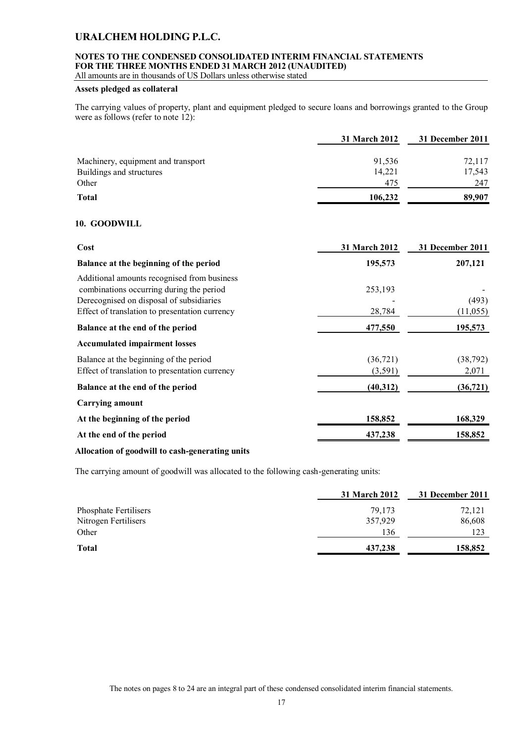### **NOTES TO THE CONDENSED CONSOLIDATED INTERIM FINANCIAL STATEMENTS FOR THE THREE MONTHS ENDED 31 MARCH 2012 (UNAUDITED)**

All amounts are in thousands of US Dollars unless otherwise stated

### **Assets pledged as collateral**

The carrying values of property, plant and equipment pledged to secure loans and borrowings granted to the Group were as follows (refer to note 12):

| 31 March 2012 | 31 December 2011 |
|---------------|------------------|
| 91,536        | 72,117           |
| 14,221        | 17,543           |
| 475           | 247              |
| 106,232       | 89,907           |
|               |                  |

### **10. GOODWILL**

| Cost                                                                                                                                                                                  | 31 March 2012        | 31 December 2011   |
|---------------------------------------------------------------------------------------------------------------------------------------------------------------------------------------|----------------------|--------------------|
| Balance at the beginning of the period                                                                                                                                                | 195,573              | 207,121            |
| Additional amounts recognised from business<br>combinations occurring during the period<br>Derecognised on disposal of subsidiaries<br>Effect of translation to presentation currency | 253,193<br>28,784    | (493)<br>(11, 055) |
| Balance at the end of the period                                                                                                                                                      | 477,550              | 195,573            |
| <b>Accumulated impairment losses</b>                                                                                                                                                  |                      |                    |
| Balance at the beginning of the period<br>Effect of translation to presentation currency                                                                                              | (36, 721)<br>(3,591) | (38, 792)<br>2,071 |
| Balance at the end of the period                                                                                                                                                      | (40,312)             | (36, 721)          |
| <b>Carrying amount</b>                                                                                                                                                                |                      |                    |
| At the beginning of the period                                                                                                                                                        | 158,852              | 168,329            |
| At the end of the period                                                                                                                                                              | 437,238              | 158,852            |
| Allocation of goodwill to cash-generating units                                                                                                                                       |                      |                    |

The carrying amount of goodwill was allocated to the following cash-generating units:

|                       | 31 March 2012 | 31 December 2011 |
|-----------------------|---------------|------------------|
| Phosphate Fertilisers | 79,173        | 72,121           |
| Nitrogen Fertilisers  | 357,929       | 86,608           |
| Other                 | 136           | 123              |
| <b>Total</b>          | 437,238       | 158,852          |
|                       |               |                  |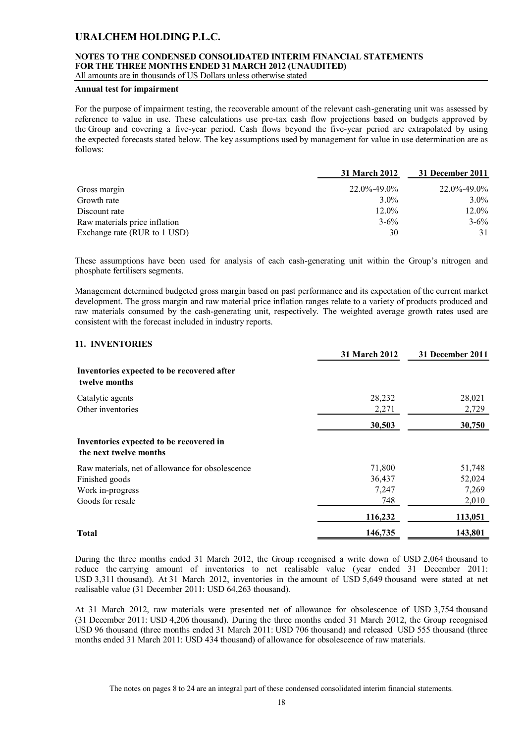### **NOTES TO THE CONDENSED CONSOLIDATED INTERIM FINANCIAL STATEMENTS FOR THE THREE MONTHS ENDED 31 MARCH 2012 (UNAUDITED)**

All amounts are in thousands of US Dollars unless otherwise stated

#### **Annual test for impairment**

For the purpose of impairment testing, the recoverable amount of the relevant cash-generating unit was assessed by reference to value in use. These calculations use pre-tax cash flow projections based on budgets approved by the Group and covering a five-year period. Cash flows beyond the five-year period are extrapolated by using the expected forecasts stated below. The key assumptions used by management for value in use determination are as follows:

|                               | <b>31 March 2012</b> | 31 December 2011 |
|-------------------------------|----------------------|------------------|
| Gross margin                  | $22.0\% - 49.0\%$    | 22.0%-49.0%      |
| Growth rate                   | $3.0\%$              | $3.0\%$          |
| Discount rate                 | 12.0%                | 12.0%            |
| Raw materials price inflation | $3 - 6\%$            | $3 - 6\%$        |
| Exchange rate (RUR to 1 USD)  | 30                   | 31               |

These assumptions have been used for analysis of each cash-generating unit within the Group's nitrogen and phosphate fertilisers segments.

Management determined budgeted gross margin based on past performance and its expectation of the current market development. The gross margin and raw material price inflation ranges relate to a variety of products produced and raw materials consumed by the cash-generating unit, respectively. The weighted average growth rates used are consistent with the forecast included in industry reports.

#### **11. INVENTORIES**

|                                                                   | <b>31 March 2012</b> | 31 December 2011 |
|-------------------------------------------------------------------|----------------------|------------------|
| Inventories expected to be recovered after<br>twelve months       |                      |                  |
| Catalytic agents                                                  | 28,232               | 28,021           |
| Other inventories                                                 | 2,271                | 2,729            |
|                                                                   | 30,503               | 30,750           |
| Inventories expected to be recovered in<br>the next twelve months |                      |                  |
| Raw materials, net of allowance for obsolescence                  | 71,800               | 51,748           |
| Finished goods                                                    | 36,437               | 52,024           |
| Work in-progress                                                  | 7,247                | 7,269            |
| Goods for resale                                                  | 748                  | 2,010            |
|                                                                   | 116,232              | 113,051          |
| <b>Total</b>                                                      | 146,735              | 143,801          |

During the three months ended 31 March 2012, the Group recognised a write down of USD 2,064 thousand to reduce the carrying amount of inventories to net realisable value (year ended 31 December 2011: USD 3,311 thousand). At 31 March 2012, inventories in the amount of USD 5,649 thousand were stated at net realisable value (31 December 2011: USD 64,263 thousand).

At 31 March 2012, raw materials were presented net of allowance for obsolescence of USD 3,754 thousand (31 December 2011: USD 4,206 thousand). During the three months ended 31 March 2012, the Group recognised USD 96 thousand (three months ended 31 March 2011: USD 706 thousand) and released USD 555 thousand (three months ended 31 March 2011: USD 434 thousand) of allowance for obsolescence of raw materials.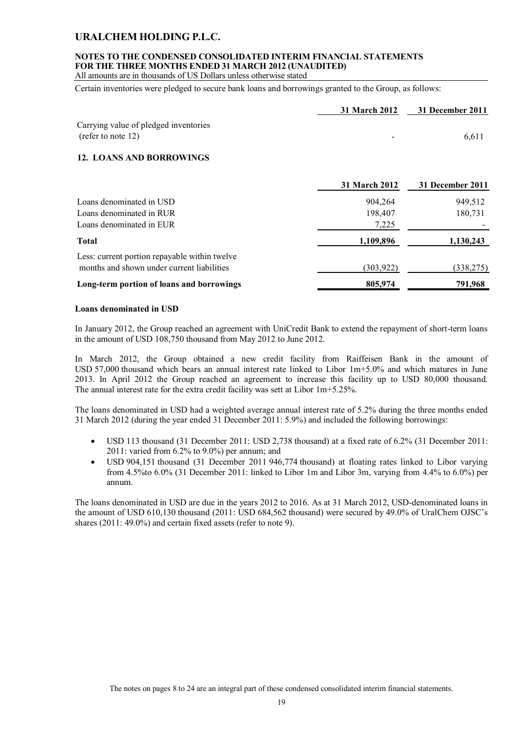### **NOTES TO THE CONDENSED CONSOLIDATED INTERIM FINANCIAL STATEMENTS FOR THE THREE MONTHS ENDED 31 MARCH 2012 (UNAUDITED)**

All amounts are in thousands of US Dollars unless otherwise stated

Certain inventories were pledged to secure bank loans and borrowings granted to the Group, as follows:

|                                                                | 31 March 2012 | 31 December 2011 |
|----------------------------------------------------------------|---------------|------------------|
| Carrying value of pledged inventories<br>(refer to note $12$ ) | -             | 6.611            |

### **12. LOANS AND BORROWINGS**

|                                                                                             | 31 March 2012 | 31 December 2011 |
|---------------------------------------------------------------------------------------------|---------------|------------------|
| Loans denominated in USD                                                                    | 904,264       | 949,512          |
| Loans denominated in RUR                                                                    | 198,407       | 180,731          |
| Loans denominated in EUR                                                                    | 7,225         |                  |
| <b>Total</b>                                                                                | 1,109,896     | 1,130,243        |
| Less: current portion repayable within twelve<br>months and shown under current liabilities | (303, 922)    | (338, 275)       |
| Long-term portion of loans and borrowings                                                   | 805,974       | 791,968          |

#### **Loans denominated in USD**

In January 2012, the Group reached an agreement with UniCredit Bank to extend the repayment of short-term loans in the amount of USD 108,750 thousand from May 2012 to June 2012.

In March 2012, the Group obtained a new credit facility from Raiffeisen Bank in the amount of USD 57,000 thousand which bears an annual interest rate linked to Libor 1m+5.0% and which matures in June 2013. In April 2012 the Group reached an agreement to increase this facility up to USD 80,000 thousand. The annual interest rate for the extra credit facility was sett at Libor 1m+5.25%.

The loans denominated in USD had a weighted average annual interest rate of 5.2% during the three months ended 31 March 2012 (during the year ended 31 December 2011: 5.9%) and included the following borrowings:

- USD 113 thousand  $(31$  December 2011: USD 2.738 thousand) at a fixed rate of  $6.2\%$   $(31$  December 2011: 2011: varied from 6.2% to 9.0%) per annum; and
- USD 904,151 thousand (31 December 2011 946,774 thousand) at floating rates linked to Libor varying from 4.5%to 6.0% (31 December 2011: linked to Libor 1m and Libor 3m, varying from 4.4% to 6.0%) per annum.

The loans denominated in USD are due in the years 2012 to 2016. As at 31 March 2012, USD-denominated loans in the amount of USD 610,130 thousand (2011: USD 684,562 thousand) were secured by 49.0% of UralChem OJSC's shares (2011: 49.0%) and certain fixed assets (refer to note 9).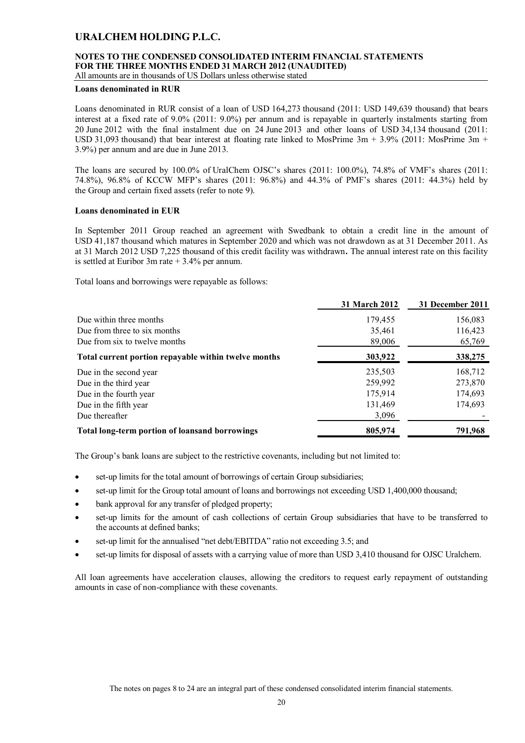### **NOTES TO THE CONDENSED CONSOLIDATED INTERIM FINANCIAL STATEMENTS FOR THE THREE MONTHS ENDED 31 MARCH 2012 (UNAUDITED)**

All amounts are in thousands of US Dollars unless otherwise stated

#### **Loans denominated in RUR**

Loans denominated in RUR consist of a loan of USD 164,273 thousand (2011: USD 149,639 thousand) that bears interest at a fixed rate of 9.0% (2011: 9.0%) per annum and is repayable in quarterly instalments starting from 20 June 2012 with the final instalment due on 24 June 2013 and other loans of USD 34,134 thousand (2011: USD 31,093 thousand) that bear interest at floating rate linked to MosPrime  $3m + 3.9%$  (2011: MosPrime  $3m +$ 3.9%) per annum and are due in June 2013.

The loans are secured by 100.0% of UralChem OJSC's shares (2011: 100.0%), 74.8% of VMF's shares (2011: 74.8%), 96.8% of KCCW MFP's shares (2011: 96.8%) and 44.3% of PMF's shares (2011: 44.3%) held by the Group and certain fixed assets (refer to note 9).

### **Loans denominated in EUR**

In September 2011 Group reached an agreement with Swedbank to obtain a credit line in the amount of USD 41,187 thousand which matures in September 2020 and which was not drawdown as at 31 December 2011. As at 31 March 2012 USD 7,225 thousand of this credit facility was withdrawn**.** The annual interest rate on this facility is settled at Euribor 3m rate  $+3.4\%$  per annum.

Total loans and borrowings were repayable as follows:

|                                                       | <b>31 March 2012</b> | 31 December 2011 |
|-------------------------------------------------------|----------------------|------------------|
| Due within three months                               | 179,455              | 156,083          |
| Due from three to six months                          | 35,461               | 116,423          |
| Due from six to twelve months                         | 89,006               | 65,769           |
| Total current portion repayable within twelve months  | 303,922              | 338,275          |
| Due in the second year                                | 235,503              | 168,712          |
| Due in the third year                                 | 259,992              | 273,870          |
| Due in the fourth year                                | 175,914              | 174,693          |
| Due in the fifth year                                 | 131,469              | 174,693          |
| Due thereafter                                        | 3,096                |                  |
| <b>Total long-term portion of loansand borrowings</b> | 805,974              | 791,968          |

The Group's bank loans are subject to the restrictive covenants, including but not limited to:

- set-up limits for the total amount of borrowings of certain Group subsidiaries;
- set-up limit for the Group total amount of loans and borrowings not exceeding USD 1,400,000 thousand;
- bank approval for any transfer of pledged property;
- set-up limits for the amount of cash collections of certain Group subsidiaries that have to be transferred to the accounts at defined banks;
- set-up limit for the annualised "net debt/EBITDA" ratio not exceeding 3.5; and
- set-up limits for disposal of assets with a carrying value of more than USD 3,410 thousand for OJSC Uralchem.

All loan agreements have acceleration clauses, allowing the creditors to request early repayment of outstanding amounts in case of non-compliance with these covenants.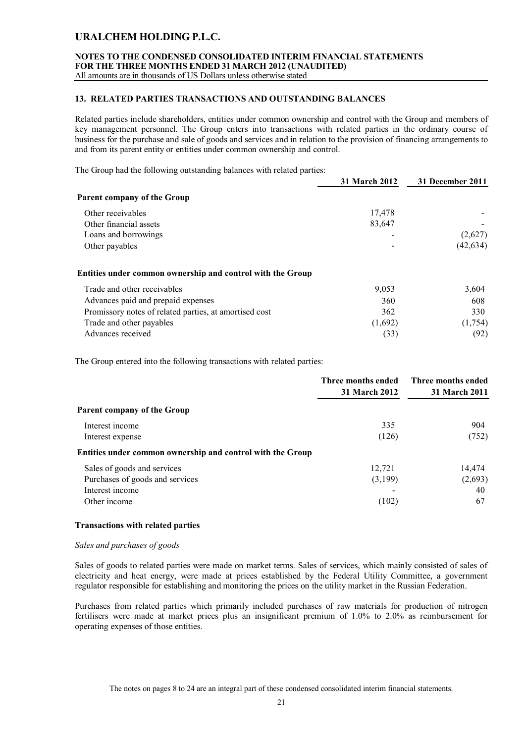### **NOTES TO THE CONDENSED CONSOLIDATED INTERIM FINANCIAL STATEMENTS FOR THE THREE MONTHS ENDED 31 MARCH 2012 (UNAUDITED)**

All amounts are in thousands of US Dollars unless otherwise stated

#### **13. RELATED PARTIES TRANSACTIONS AND OUTSTANDING BALANCES**

Related parties include shareholders, entities under common ownership and control with the Group and members of key management personnel. The Group enters into transactions with related parties in the ordinary course of business for the purchase and sale of goods and services and in relation to the provision of financing arrangements to and from its parent entity or entities under common ownership and control.

The Group had the following outstanding balances with related parties:

|                                                            | <b>31 March 2012</b> | 31 December 2011 |
|------------------------------------------------------------|----------------------|------------------|
| Parent company of the Group                                |                      |                  |
| Other receivables                                          | 17,478               |                  |
| Other financial assets                                     | 83,647               |                  |
| Loans and borrowings                                       |                      | (2,627)          |
| Other payables                                             |                      | (42, 634)        |
|                                                            |                      |                  |
| Entities under common ownership and control with the Group |                      |                  |

### Trade and other receivables 3,604 Advances paid and prepaid expenses 360 608 Promissory notes of related parties, at amortised cost 362 330 Trade and other payables (1,692) (1,754) Advances received (33) (92)

The Group entered into the following transactions with related parties:

|                                                            | Three months ended<br><b>31 March 2012</b> | Three months ended<br>31 March 2011 |
|------------------------------------------------------------|--------------------------------------------|-------------------------------------|
| Parent company of the Group                                |                                            |                                     |
| Interest income                                            | 335                                        | 904                                 |
| Interest expense                                           | (126)                                      | (752)                               |
| Entities under common ownership and control with the Group |                                            |                                     |
| Sales of goods and services                                | 12,721                                     | 14,474                              |
| Purchases of goods and services                            | (3,199)                                    | (2,693)                             |
| Interest income                                            |                                            | 40                                  |
| Other income                                               | (102)                                      | 67                                  |

### **Transactions with related parties**

#### *Sales and purchases of goods*

Sales of goods to related parties were made on market terms. Sales of services, which mainly consisted of sales of electricity and heat energy, were made at prices established by the Federal Utility Committee, a government regulator responsible for establishing and monitoring the prices on the utility market in the Russian Federation.

Purchases from related parties which primarily included purchases of raw materials for production of nitrogen fertilisers were made at market prices plus an insignificant premium of 1.0% to 2.0% as reimbursement for operating expenses of those entities.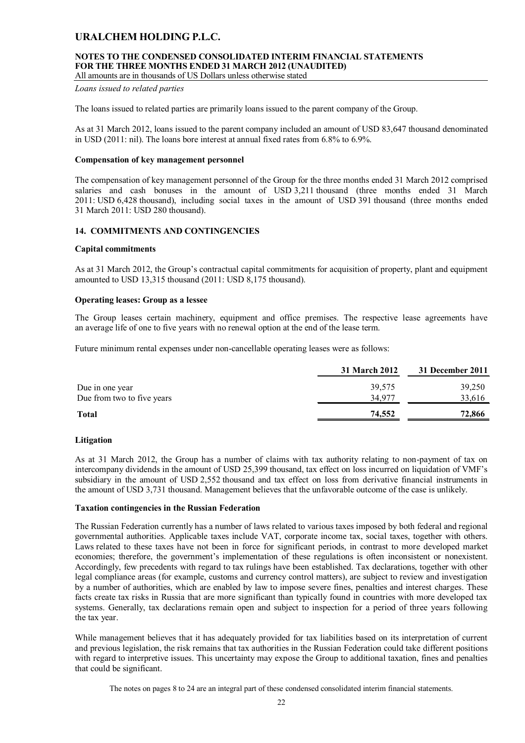### **NOTES TO THE CONDENSED CONSOLIDATED INTERIM FINANCIAL STATEMENTS FOR THE THREE MONTHS ENDED 31 MARCH 2012 (UNAUDITED)**

All amounts are in thousands of US Dollars unless otherwise stated

*Loans issued to related parties* 

The loans issued to related parties are primarily loans issued to the parent company of the Group.

As at 31 March 2012, loans issued to the parent company included an amount of USD 83,647 thousand denominated in USD (2011: nil). The loans bore interest at annual fixed rates from 6.8% to 6.9%.

#### **Compensation of key management personnel**

The compensation of key management personnel of the Group for the three months ended 31 March 2012 comprised salaries and cash bonuses in the amount of USD 3,211 thousand (three months ended 31 March 2011: USD 6,428 thousand), including social taxes in the amount of USD 391 thousand (three months ended 31 March 2011: USD 280 thousand).

### **14. COMMITMENTS AND CONTINGENCIES**

#### **Capital commitments**

As at 31 March 2012, the Group's contractual capital commitments for acquisition of property, plant and equipment amounted to USD 13,315 thousand (2011: USD 8,175 thousand).

#### **Operating leases: Group as a lessee**

The Group leases certain machinery, equipment and office premises. The respective lease agreements have an average life of one to five years with no renewal option at the end of the lease term.

Future minimum rental expenses under non-cancellable operating leases were as follows:

| 31 March 2012 | 31 December 2011 |
|---------------|------------------|
| 39,575        | 39,250           |
| 34.977        | 33,616           |
| 74,552        | 72,866           |
|               |                  |

#### **Litigation**

As at 31 March 2012, the Group has a number of claims with tax authority relating to non-payment of tax on intercompany dividends in the amount of USD 25,399 thousand, tax effect on loss incurred on liquidation of VMF's subsidiary in the amount of USD 2,552 thousand and tax effect on loss from derivative financial instruments in the amount of USD 3,731 thousand. Management believes that the unfavorable outcome of the case is unlikely.

### **Taxation contingencies in the Russian Federation**

The Russian Federation currently has a number of laws related to various taxes imposed by both federal and regional governmental authorities. Applicable taxes include VAT, corporate income tax, social taxes, together with others. Laws related to these taxes have not been in force for significant periods, in contrast to more developed market economies; therefore, the government's implementation of these regulations is often inconsistent or nonexistent. Accordingly, few precedents with regard to tax rulings have been established. Tax declarations, together with other legal compliance areas (for example, customs and currency control matters), are subject to review and investigation by a number of authorities, which are enabled by law to impose severe fines, penalties and interest charges. These facts create tax risks in Russia that are more significant than typically found in countries with more developed tax systems. Generally, tax declarations remain open and subject to inspection for a period of three years following the tax year.

While management believes that it has adequately provided for tax liabilities based on its interpretation of current and previous legislation, the risk remains that tax authorities in the Russian Federation could take different positions with regard to interpretive issues. This uncertainty may expose the Group to additional taxation, fines and penalties that could be significant.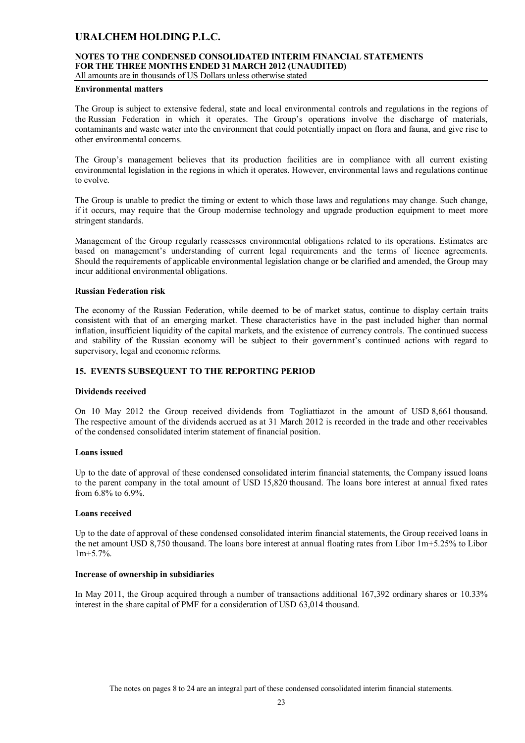### **NOTES TO THE CONDENSED CONSOLIDATED INTERIM FINANCIAL STATEMENTS FOR THE THREE MONTHS ENDED 31 MARCH 2012 (UNAUDITED)**

All amounts are in thousands of US Dollars unless otherwise stated

#### **Environmental matters**

The Group is subject to extensive federal, state and local environmental controls and regulations in the regions of the Russian Federation in which it operates. The Group's operations involve the discharge of materials, contaminants and waste water into the environment that could potentially impact on flora and fauna, and give rise to other environmental concerns.

The Group's management believes that its production facilities are in compliance with all current existing environmental legislation in the regions in which it operates. However, environmental laws and regulations continue to evolve.

The Group is unable to predict the timing or extent to which those laws and regulations may change. Such change, if it occurs, may require that the Group modernise technology and upgrade production equipment to meet more stringent standards.

Management of the Group regularly reassesses environmental obligations related to its operations. Estimates are based on management's understanding of current legal requirements and the terms of licence agreements. Should the requirements of applicable environmental legislation change or be clarified and amended, the Group may incur additional environmental obligations.

#### **Russian Federation risk**

The economy of the Russian Federation, while deemed to be of market status, continue to display certain traits consistent with that of an emerging market. These characteristics have in the past included higher than normal inflation, insufficient liquidity of the capital markets, and the existence of currency controls. The continued success and stability of the Russian economy will be subject to their government's continued actions with regard to supervisory, legal and economic reforms.

#### **15. EVENTS SUBSEQUENT TO THE REPORTING PERIOD**

#### **Dividends received**

On 10 May 2012 the Group received dividends from Togliattiazot in the amount of USD 8,661 thousand. The respective amount of the dividends accrued as at 31 March 2012 is recorded in the trade and other receivables of the condensed consolidated interim statement of financial position.

#### **Loans issued**

Up to the date of approval of these condensed consolidated interim financial statements, the Company issued loans to the parent company in the total amount of USD 15,820 thousand. The loans bore interest at annual fixed rates from  $6.8\%$  to  $6.9\%$ 

#### **Loans received**

Up to the date of approval of these condensed consolidated interim financial statements, the Group received loans in the net amount USD 8,750 thousand. The loans bore interest at annual floating rates from Libor 1m+5.25% to Libor  $1m+5.7%$ .

#### **Increase of ownership in subsidiaries**

In May 2011, the Group acquired through a number of transactions additional 167,392 ordinary shares or 10.33% interest in the share capital of PMF for a consideration of USD 63,014 thousand.